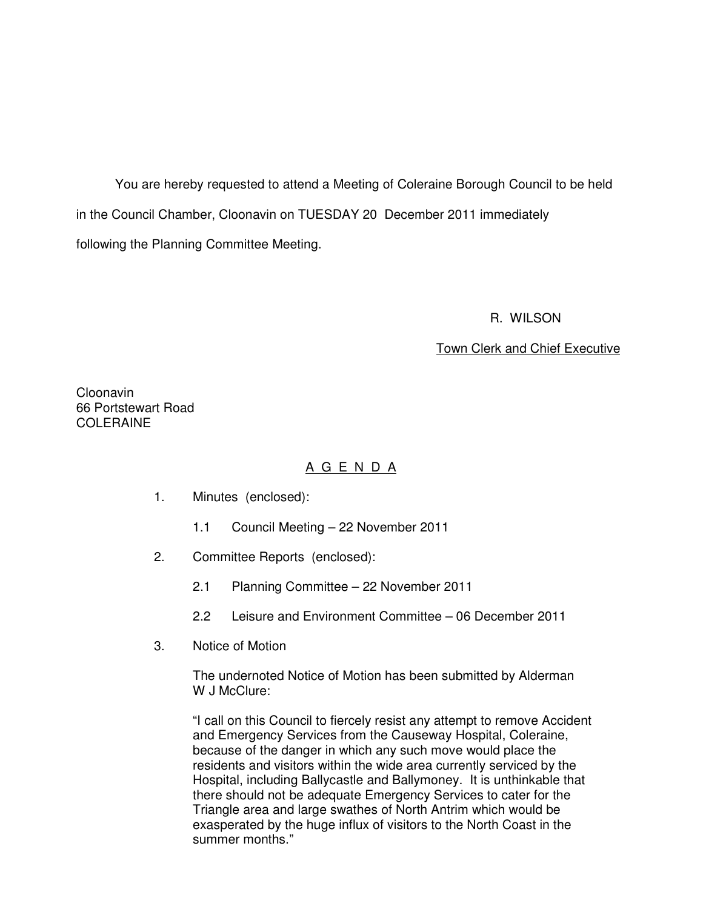You are hereby requested to attend a Meeting of Coleraine Borough Council to be held in the Council Chamber, Cloonavin on TUESDAY 20 December 2011 immediately following the Planning Committee Meeting.

#### R. WILSON

### Town Clerk and Chief Executive

Cloonavin 66 Portstewart Road COLERAINE

### A G E N D A

- 1. Minutes (enclosed):
	- 1.1 Council Meeting 22 November 2011
- 2. Committee Reports (enclosed):
	- 2.1 Planning Committee 22 November 2011
	- 2.2 Leisure and Environment Committee 06 December 2011
- 3. Notice of Motion

The undernoted Notice of Motion has been submitted by Alderman W J McClure:

"I call on this Council to fiercely resist any attempt to remove Accident and Emergency Services from the Causeway Hospital, Coleraine, because of the danger in which any such move would place the residents and visitors within the wide area currently serviced by the Hospital, including Ballycastle and Ballymoney. It is unthinkable that there should not be adequate Emergency Services to cater for the Triangle area and large swathes of North Antrim which would be exasperated by the huge influx of visitors to the North Coast in the summer months."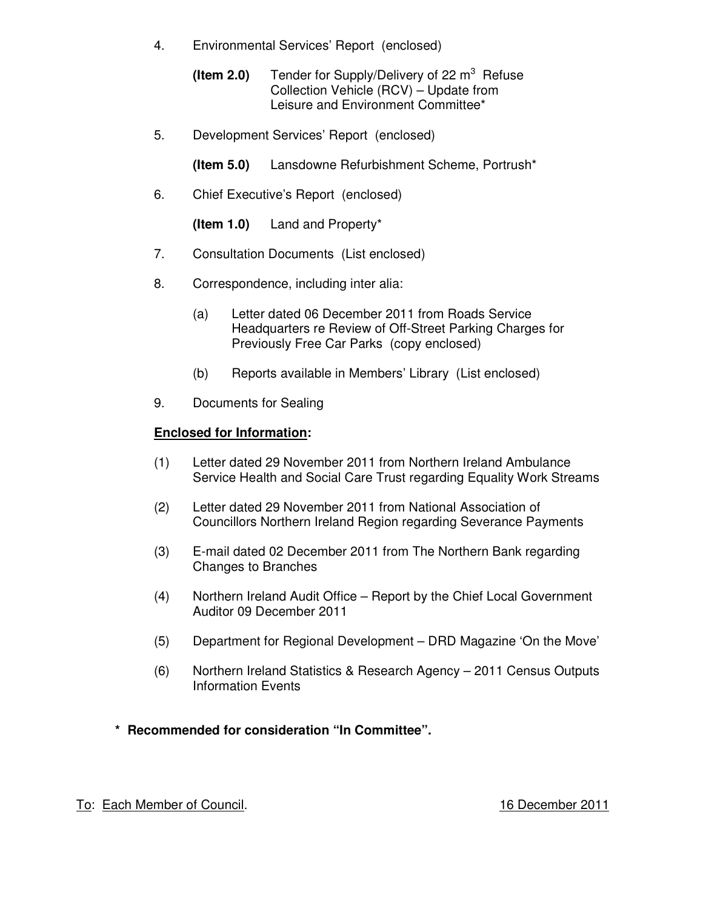- 4. Environmental Services' Report (enclosed)
- **(Item 2.0)** Tender for Supply/Delivery of 22 m<sup>3</sup> Refuse Collection Vehicle (RCV) – Update from Leisure and Environment Committee\*
	- 5. Development Services' Report (enclosed)
		- **(Item 5.0)** Lansdowne Refurbishment Scheme, Portrush\*
	- 6. Chief Executive's Report (enclosed)

**(Item 1.0)** Land and Property\*

- 7. Consultation Documents (List enclosed)
- 8. Correspondence, including inter alia:
	- (a) Letter dated 06 December 2011 from Roads Service Headquarters re Review of Off-Street Parking Charges for Previously Free Car Parks (copy enclosed)
	- (b) Reports available in Members' Library (List enclosed)
- 9. Documents for Sealing

### **Enclosed for Information:**

- (1) Letter dated 29 November 2011 from Northern Ireland Ambulance Service Health and Social Care Trust regarding Equality Work Streams
- (2) Letter dated 29 November 2011 from National Association of Councillors Northern Ireland Region regarding Severance Payments
- (3) E-mail dated 02 December 2011 from The Northern Bank regarding Changes to Branches
- (4) Northern Ireland Audit Office Report by the Chief Local Government Auditor 09 December 2011
- (5) Department for Regional Development DRD Magazine 'On the Move'
- (6) Northern Ireland Statistics & Research Agency 2011 Census Outputs Information Events
- **\* Recommended for consideration "In Committee".**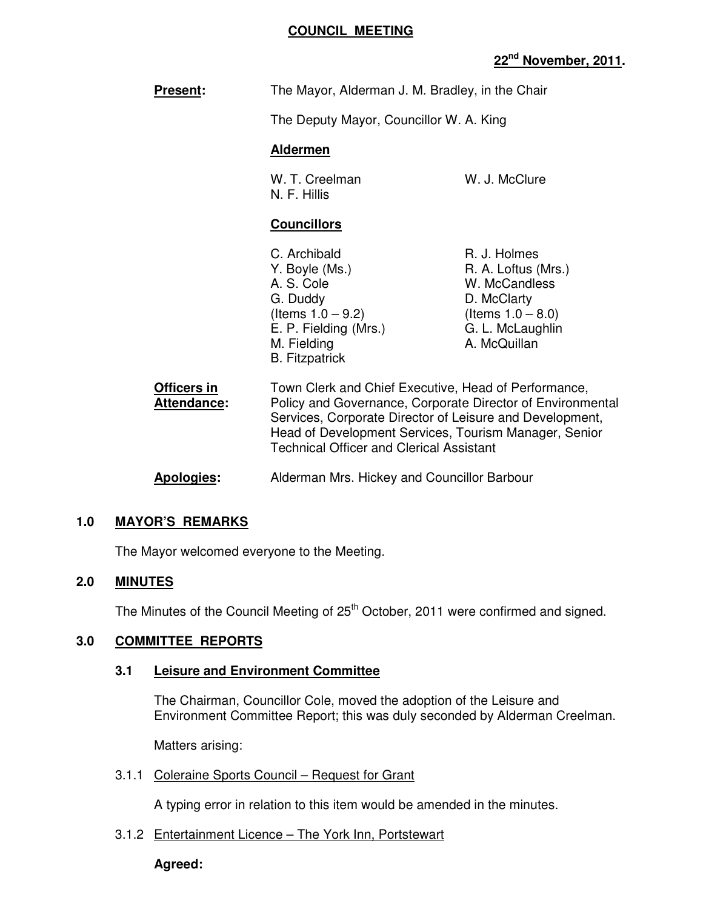### **COUNCIL MEETING**

### **22nd November, 2011.**

|                                   | The Mayor, Alderman J. M. Bradley, in the Chair<br>The Deputy Mayor, Councillor W. A. King<br><b>Aldermen</b>                                                                                                                                                                              |                                                                                                                                 |
|-----------------------------------|--------------------------------------------------------------------------------------------------------------------------------------------------------------------------------------------------------------------------------------------------------------------------------------------|---------------------------------------------------------------------------------------------------------------------------------|
| <b>Present:</b>                   |                                                                                                                                                                                                                                                                                            |                                                                                                                                 |
|                                   |                                                                                                                                                                                                                                                                                            |                                                                                                                                 |
|                                   |                                                                                                                                                                                                                                                                                            |                                                                                                                                 |
|                                   | W. T. Creelman<br>N. F. Hillis                                                                                                                                                                                                                                                             | W. J. McClure                                                                                                                   |
|                                   | <b>Councillors</b>                                                                                                                                                                                                                                                                         |                                                                                                                                 |
|                                   | C. Archibald<br>Y. Boyle (Ms.)<br>A. S. Cole<br>G. Duddy<br>(Items $1.0 - 9.2$ )<br>E. P. Fielding (Mrs.)<br>M. Fielding<br><b>B.</b> Fitzpatrick                                                                                                                                          | R. J. Holmes<br>R. A. Loftus (Mrs.)<br>W. McCandless<br>D. McClarty<br>(Items $1.0 - 8.0$ )<br>G. L. McLaughlin<br>A. McQuillan |
| Officers in<br><b>Attendance:</b> | Town Clerk and Chief Executive, Head of Performance,<br>Policy and Governance, Corporate Director of Environmental<br>Services, Corporate Director of Leisure and Development,<br>Head of Development Services, Tourism Manager, Senior<br><b>Technical Officer and Clerical Assistant</b> |                                                                                                                                 |
| <b>Apologies:</b>                 | Alderman Mrs. Hickey and Councillor Barbour                                                                                                                                                                                                                                                |                                                                                                                                 |

### **1.0 MAYOR'S REMARKS**

The Mayor welcomed everyone to the Meeting.

### **2.0 MINUTES**

The Minutes of the Council Meeting of 25<sup>th</sup> October, 2011 were confirmed and signed.

### **3.0 COMMITTEE REPORTS**

### **3.1 Leisure and Environment Committee**

 The Chairman, Councillor Cole, moved the adoption of the Leisure and Environment Committee Report; this was duly seconded by Alderman Creelman.

Matters arising:

3.1.1 Coleraine Sports Council – Request for Grant

A typing error in relation to this item would be amended in the minutes.

3.1.2 Entertainment Licence – The York Inn, Portstewart

#### **Agreed:**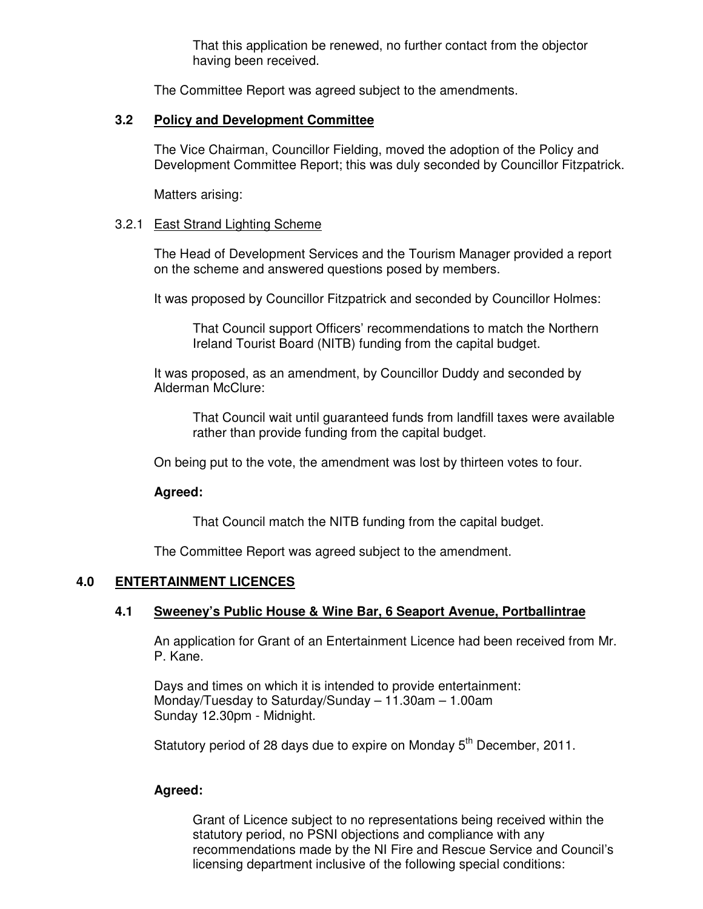That this application be renewed, no further contact from the objector having been received.

The Committee Report was agreed subject to the amendments.

### **3.2 Policy and Development Committee**

 The Vice Chairman, Councillor Fielding, moved the adoption of the Policy and Development Committee Report; this was duly seconded by Councillor Fitzpatrick.

Matters arising:

### 3.2.1 East Strand Lighting Scheme

The Head of Development Services and the Tourism Manager provided a report on the scheme and answered questions posed by members.

It was proposed by Councillor Fitzpatrick and seconded by Councillor Holmes:

That Council support Officers' recommendations to match the Northern Ireland Tourist Board (NITB) funding from the capital budget.

It was proposed, as an amendment, by Councillor Duddy and seconded by Alderman McClure:

That Council wait until guaranteed funds from landfill taxes were available rather than provide funding from the capital budget.

On being put to the vote, the amendment was lost by thirteen votes to four.

### **Agreed:**

That Council match the NITB funding from the capital budget.

The Committee Report was agreed subject to the amendment.

### **4.0 ENTERTAINMENT LICENCES**

### **4.1 Sweeney's Public House & Wine Bar, 6 Seaport Avenue, Portballintrae**

 An application for Grant of an Entertainment Licence had been received from Mr. P. Kane.

 Days and times on which it is intended to provide entertainment: Monday/Tuesday to Saturday/Sunday – 11.30am – 1.00am Sunday 12.30pm - Midnight.

Statutory period of 28 days due to expire on Monday  $5<sup>th</sup>$  December, 2011.

### **Agreed:**

Grant of Licence subject to no representations being received within the statutory period, no PSNI objections and compliance with any recommendations made by the NI Fire and Rescue Service and Council's licensing department inclusive of the following special conditions: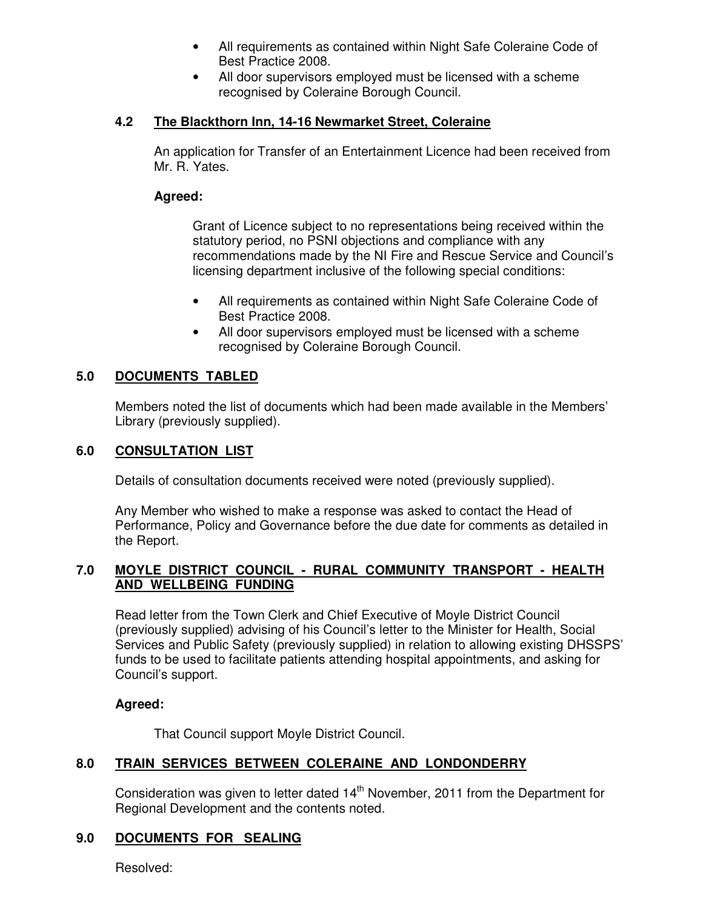- All requirements as contained within Night Safe Coleraine Code of Best Practice 2008.
- All door supervisors employed must be licensed with a scheme recognised by Coleraine Borough Council.

### **4.2 The Blackthorn Inn, 14-16 Newmarket Street, Coleraine**

An application for Transfer of an Entertainment Licence had been received from Mr. R. Yates.

### **Agreed:**

Grant of Licence subject to no representations being received within the statutory period, no PSNI objections and compliance with any recommendations made by the NI Fire and Rescue Service and Council's licensing department inclusive of the following special conditions:

- All requirements as contained within Night Safe Coleraine Code of Best Practice 2008.
- All door supervisors employed must be licensed with a scheme recognised by Coleraine Borough Council.

### **5.0 DOCUMENTS TABLED**

 Members noted the list of documents which had been made available in the Members' Library (previously supplied).

### **6.0 CONSULTATION LIST**

Details of consultation documents received were noted (previously supplied).

 Any Member who wished to make a response was asked to contact the Head of Performance, Policy and Governance before the due date for comments as detailed in the Report.

### **7.0 MOYLE DISTRICT COUNCIL - RURAL COMMUNITY TRANSPORT - HEALTH AND WELLBEING FUNDING**

Read letter from the Town Clerk and Chief Executive of Moyle District Council (previously supplied) advising of his Council's letter to the Minister for Health, Social Services and Public Safety (previously supplied) in relation to allowing existing DHSSPS' funds to be used to facilitate patients attending hospital appointments, and asking for Council's support.

### **Agreed:**

That Council support Moyle District Council.

### **8.0 TRAIN SERVICES BETWEEN COLERAINE AND LONDONDERRY**

Consideration was given to letter dated  $14<sup>th</sup>$  November, 2011 from the Department for Regional Development and the contents noted.

### **9.0 DOCUMENTS FOR SEALING**

Resolved: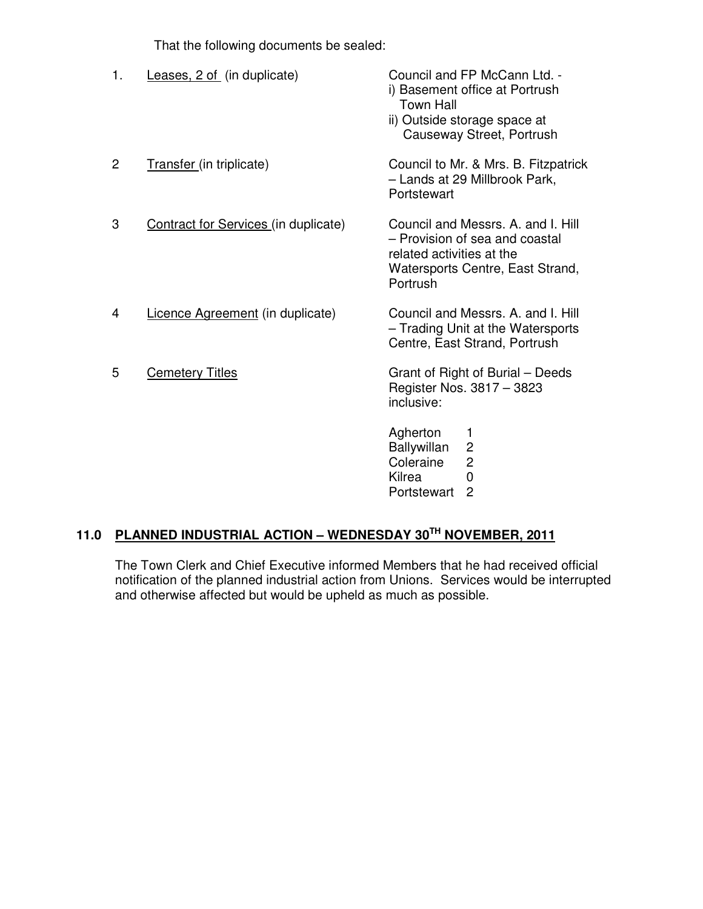That the following documents be sealed:

| 1. | Leases, 2 of (in duplicate)          | Council and FP McCann Ltd. -<br>i) Basement office at Portrush<br><b>Town Hall</b><br>ii) Outside storage space at<br>Causeway Street, Portrush   |
|----|--------------------------------------|---------------------------------------------------------------------------------------------------------------------------------------------------|
| 2  | Transfer (in triplicate)             | Council to Mr. & Mrs. B. Fitzpatrick<br>- Lands at 29 Millbrook Park,<br>Portstewart                                                              |
| 3  | Contract for Services (in duplicate) | Council and Messrs, A. and I. Hill<br>- Provision of sea and coastal<br>related activities at the<br>Watersports Centre, East Strand,<br>Portrush |
| 4  | Licence Agreement (in duplicate)     | Council and Messrs, A. and I. Hill<br>- Trading Unit at the Watersports<br>Centre, East Strand, Portrush                                          |
| 5  | <b>Cemetery Titles</b>               | Grant of Right of Burial - Deeds<br>Register Nos. 3817 - 3823<br>inclusive:                                                                       |
|    |                                      | Agherton<br>1<br>$\overline{c}$<br><b>Ballywillan</b><br>$\overline{c}$<br>Coleraine<br>Kilrea<br>$\overline{0}$                                  |

# Portstewart 2

# **11.0 PLANNED INDUSTRIAL ACTION – WEDNESDAY 30TH NOVEMBER, 2011**

 The Town Clerk and Chief Executive informed Members that he had received official notification of the planned industrial action from Unions. Services would be interrupted and otherwise affected but would be upheld as much as possible.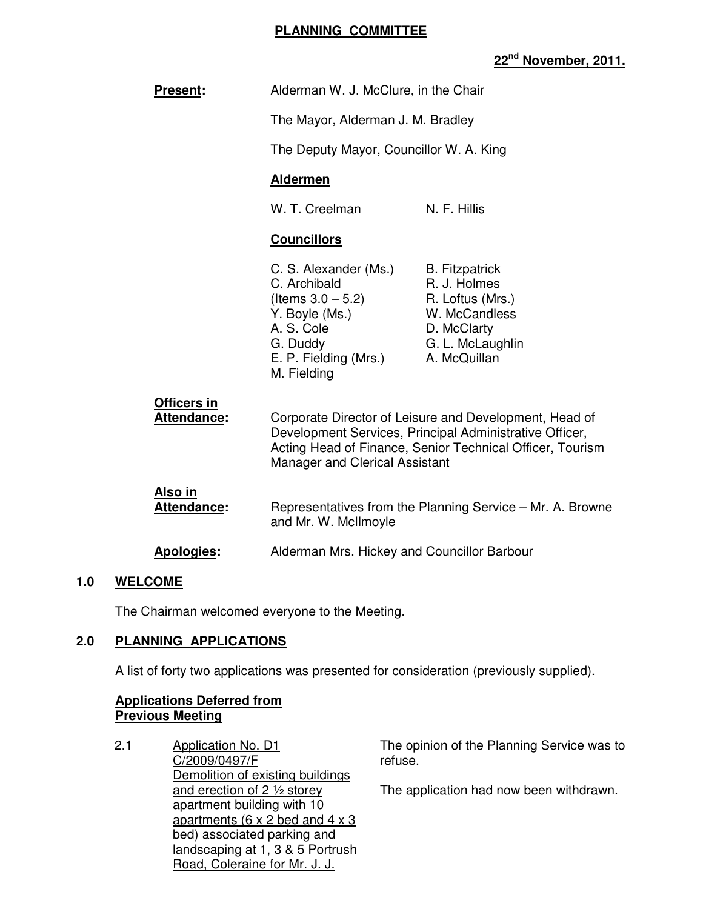### **PLANNING COMMITTEE**

## **22nd November, 2011.**

| <b>Present:</b>                   | Alderman W. J. McClure, in the Chair                                                                                                                                                                                    |                                                                                                                               |
|-----------------------------------|-------------------------------------------------------------------------------------------------------------------------------------------------------------------------------------------------------------------------|-------------------------------------------------------------------------------------------------------------------------------|
|                                   | The Mayor, Alderman J. M. Bradley                                                                                                                                                                                       |                                                                                                                               |
|                                   | The Deputy Mayor, Councillor W. A. King                                                                                                                                                                                 |                                                                                                                               |
|                                   | <b>Aldermen</b>                                                                                                                                                                                                         |                                                                                                                               |
|                                   | W. T. Creelman                                                                                                                                                                                                          | N. F. Hillis                                                                                                                  |
|                                   | <b>Councillors</b>                                                                                                                                                                                                      |                                                                                                                               |
|                                   | C. S. Alexander (Ms.)<br>C. Archibald<br>(Items $3.0 - 5.2$ )<br>Y. Boyle (Ms.)<br>A. S. Cole<br>G. Duddy<br>E. P. Fielding (Mrs.)<br>M. Fielding                                                                       | <b>B.</b> Fitzpatrick<br>R. J. Holmes<br>R. Loftus (Mrs.)<br>W. McCandless<br>D. McClarty<br>G. L. McLaughlin<br>A. McQuillan |
| Officers in<br><b>Attendance:</b> | Corporate Director of Leisure and Development, Head of<br>Development Services, Principal Administrative Officer,<br>Acting Head of Finance, Senior Technical Officer, Tourism<br><b>Manager and Clerical Assistant</b> |                                                                                                                               |
| Also in<br><b>Attendance:</b>     | Representatives from the Planning Service - Mr. A. Browne<br>and Mr. W. McIlmoyle                                                                                                                                       |                                                                                                                               |
| <b>Apologies:</b>                 | Alderman Mrs. Hickey and Councillor Barbour                                                                                                                                                                             |                                                                                                                               |

### **1.0 WELCOME**

The Chairman welcomed everyone to the Meeting.

### **2.0 PLANNING APPLICATIONS**

A list of forty two applications was presented for consideration (previously supplied).

### **Applications Deferred from Previous Meeting**

2.1 Application No. D1 C/2009/0497/F Demolition of existing buildings and erection of 2 ½ storey apartment building with 10 apartments ( $6 \times 2$  bed and  $4 \times 3$ bed) associated parking and landscaping at 1, 3 & 5 Portrush Road, Coleraine for Mr. J. J.

The opinion of the Planning Service was to refuse.

The application had now been withdrawn.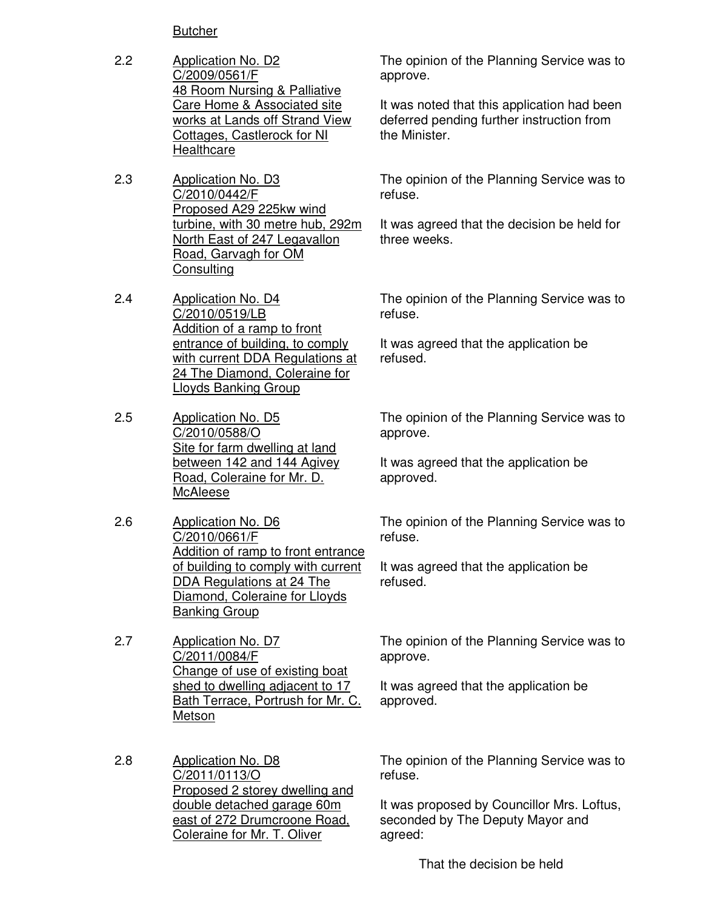**Butcher** 

- 2.2 Application No. D2 C/2009/0561/F 48 Room Nursing & Palliative Care Home & Associated site works at Lands off Strand View Cottages, Castlerock for NI **Healthcare**
- 2.3 Application No. D3 C/2010/0442/F Proposed A29 225kw wind turbine, with 30 metre hub, 292m North East of 247 Legavallon Road, Garvagh for OM **Consulting**
- 2.4 Application No. D4 C/2010/0519/LB Addition of a ramp to front entrance of building, to comply with current DDA Regulations at 24 The Diamond, Coleraine for Lloyds Banking Group
- 2.5 Application No. D5 C/2010/0588/O Site for farm dwelling at land between 142 and 144 Agivey Road, Coleraine for Mr. D. McAleese
- 2.6 Application No. D6 C/2010/0661/F Addition of ramp to front entrance of building to comply with current DDA Regulations at 24 The Diamond, Coleraine for Lloyds Banking Group
- 2.7 Application No. D7 C/2011/0084/F Change of use of existing boat shed to dwelling adjacent to 17 Bath Terrace, Portrush for Mr. C. Metson

2.8 Application No. D8 C/2011/0113/O Proposed 2 storey dwelling and double detached garage 60m east of 272 Drumcroone Road, Coleraine for Mr. T. Oliver

The opinion of the Planning Service was to approve.

It was noted that this application had been deferred pending further instruction from the Minister.

The opinion of the Planning Service was to refuse.

It was agreed that the decision be held for three weeks.

The opinion of the Planning Service was to refuse.

It was agreed that the application be refused.

The opinion of the Planning Service was to approve.

It was agreed that the application be approved.

The opinion of the Planning Service was to refuse.

It was agreed that the application be refused.

The opinion of the Planning Service was to approve.

It was agreed that the application be approved.

The opinion of the Planning Service was to refuse.

It was proposed by Councillor Mrs. Loftus, seconded by The Deputy Mayor and agreed:

That the decision be held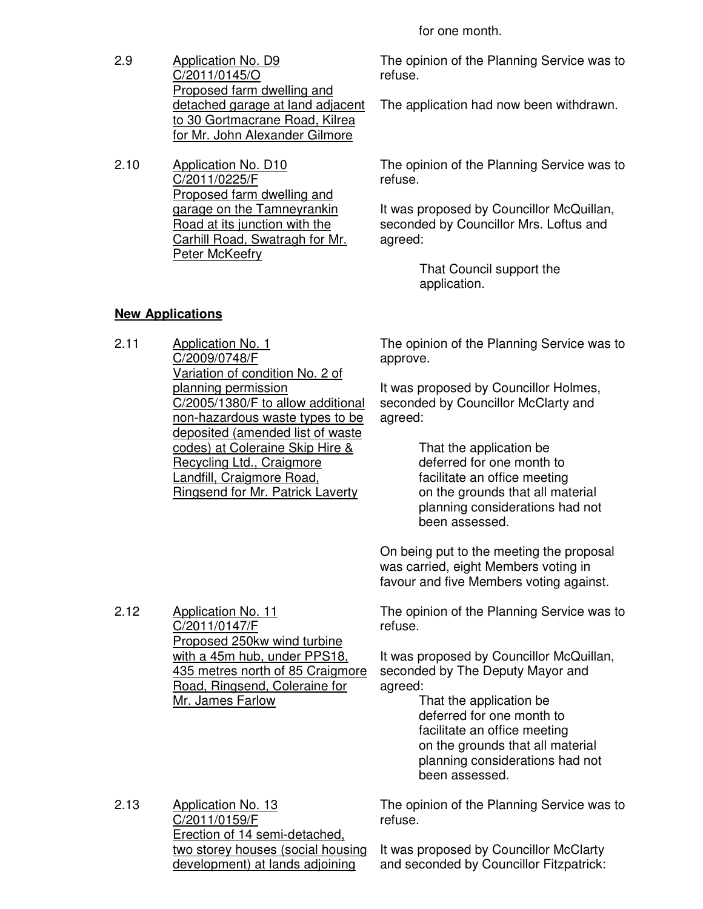for one month.

2.9 Application No. D9 C/2011/0145/O Proposed farm dwelling and detached garage at land adjacent to 30 Gortmacrane Road, Kilrea for Mr. John Alexander Gilmore

2.10 Application No. D10 C/2011/0225/F Proposed farm dwelling and garage on the Tamneyrankin Road at its junction with the Carhill Road, Swatragh for Mr. Peter McKeefry

The opinion of the Planning Service was to refuse.

The application had now been withdrawn.

The opinion of the Planning Service was to refuse.

It was proposed by Councillor McQuillan, seconded by Councillor Mrs. Loftus and agreed:

> That Council support the application.

### **New Applications**

2.11 Application No. 1 C/2009/0748/F Variation of condition No. 2 of planning permission C/2005/1380/F to allow additional non-hazardous waste types to be deposited (amended list of waste codes) at Coleraine Skip Hire & Recycling Ltd., Craigmore Landfill, Craigmore Road, Ringsend for Mr. Patrick Laverty

The opinion of the Planning Service was to approve.

It was proposed by Councillor Holmes, seconded by Councillor McClarty and agreed:

> That the application be deferred for one month to facilitate an office meeting on the grounds that all material planning considerations had not been assessed.

On being put to the meeting the proposal was carried, eight Members voting in favour and five Members voting against.

2.12 Application No. 11 C/2011/0147/F Proposed 250kw wind turbine with a 45m hub, under PPS18, 435 metres north of 85 Craigmore Road, Ringsend, Coleraine for Mr. James Farlow

The opinion of the Planning Service was to refuse.

It was proposed by Councillor McQuillan, seconded by The Deputy Mayor and agreed:

 That the application be deferred for one month to facilitate an office meeting on the grounds that all material planning considerations had not been assessed.

2.13 **Application No. 13** C/2011/0159/F Erection of 14 semi-detached, two storey houses (social housing development) at lands adjoining

The opinion of the Planning Service was to refuse.

It was proposed by Councillor McClarty and seconded by Councillor Fitzpatrick: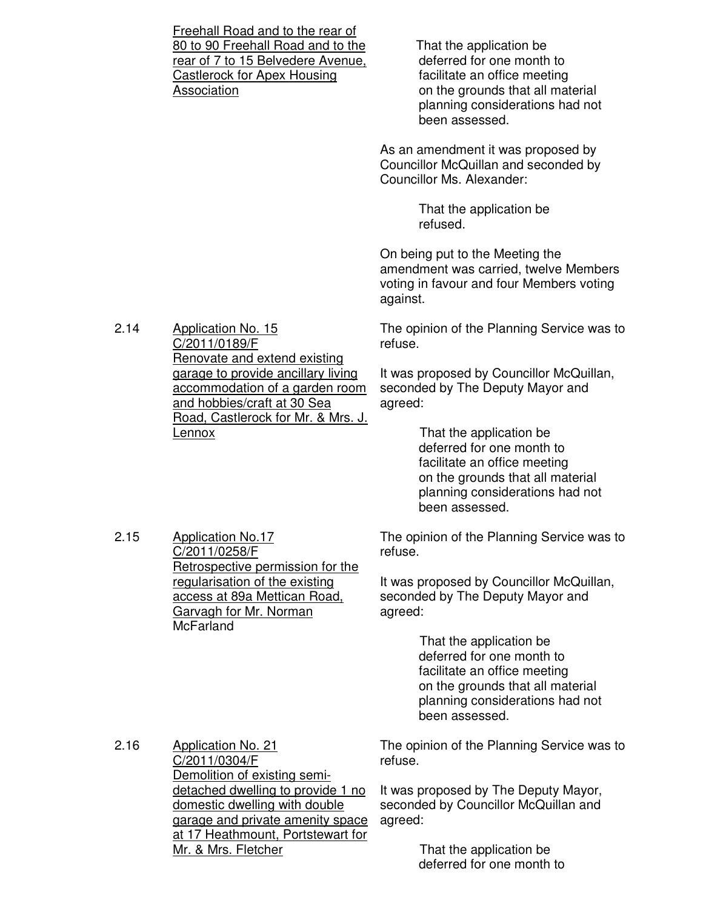Freehall Road and to the rear of 80 to 90 Freehall Road and to the rear of 7 to 15 Belvedere Avenue, Castlerock for Apex Housing Association

 That the application be deferred for one month to facilitate an office meeting on the grounds that all material planning considerations had not been assessed.

As an amendment it was proposed by Councillor McQuillan and seconded by Councillor Ms. Alexander:

> That the application be refused.

On being put to the Meeting the amendment was carried, twelve Members voting in favour and four Members voting against.

The opinion of the Planning Service was to refuse.

It was proposed by Councillor McQuillan, seconded by The Deputy Mayor and agreed:

> That the application be deferred for one month to facilitate an office meeting on the grounds that all material planning considerations had not been assessed.

The opinion of the Planning Service was to refuse.

It was proposed by Councillor McQuillan, seconded by The Deputy Mayor and agreed:

> That the application be deferred for one month to facilitate an office meeting on the grounds that all material planning considerations had not been assessed.

2.16 Application No. 21 C/2011/0304/F Demolition of existing semidetached dwelling to provide 1 no domestic dwelling with double garage and private amenity space at 17 Heathmount, Portstewart for Mr. & Mrs. Fletcher

The opinion of the Planning Service was to refuse.

It was proposed by The Deputy Mayor, seconded by Councillor McQuillan and agreed:

> That the application be deferred for one month to

2.14 Application No. 15 C/2011/0189/F Renovate and extend existing garage to provide ancillary living accommodation of a garden room and hobbies/craft at 30 Sea Road, Castlerock for Mr. & Mrs. J. Lennox

> Application No.17 C/2011/0258/F

**McFarland** 

Retrospective permission for the regularisation of the existing access at 89a Mettican Road, Garvagh for Mr. Norman

2.15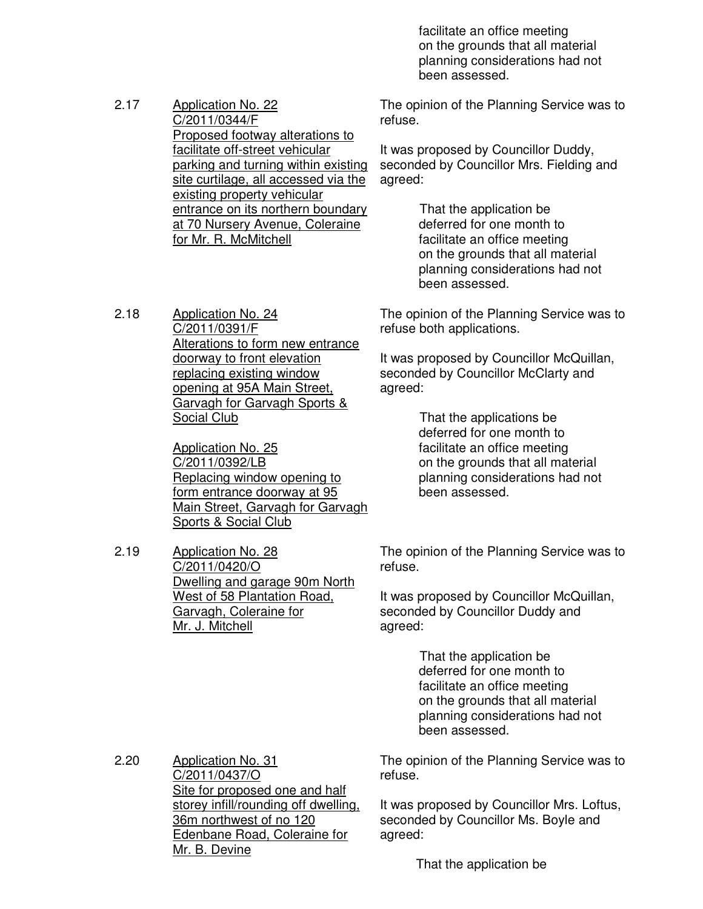facilitate an office meeting on the grounds that all material planning considerations had not been assessed.

2.17 Application No. 22 C/2011/0344/F Proposed footway alterations to facilitate off-street vehicular parking and turning within existing site curtilage, all accessed via the existing property vehicular entrance on its northern boundary at 70 Nursery Avenue, Coleraine for Mr. R. McMitchell

The opinion of the Planning Service was to refuse.

It was proposed by Councillor Duddy, seconded by Councillor Mrs. Fielding and agreed:

> That the application be deferred for one month to facilitate an office meeting on the grounds that all material planning considerations had not been assessed.

The opinion of the Planning Service was to refuse both applications.

It was proposed by Councillor McQuillan, seconded by Councillor McClarty and agreed:

> That the applications be deferred for one month to facilitate an office meeting on the grounds that all material planning considerations had not been assessed.

The opinion of the Planning Service was to refuse.

It was proposed by Councillor McQuillan, seconded by Councillor Duddy and agreed:

> That the application be deferred for one month to facilitate an office meeting on the grounds that all material planning considerations had not been assessed.

The opinion of the Planning Service was to refuse.

It was proposed by Councillor Mrs. Loftus, seconded by Councillor Ms. Boyle and agreed:

That the application be

2.18 Application No. 24 C/2011/0391/F Alterations to form new entrance doorway to front elevation replacing existing window opening at 95A Main Street, Garvagh for Garvagh Sports & Social Club

> Application No. 25 C/2011/0392/LB Replacing window opening to form entrance doorway at 95 Main Street, Garvagh for Garvagh Sports & Social Club

2.19 Application No. 28 C/2011/0420/O Dwelling and garage 90m North West of 58 Plantation Road, Garvagh, Coleraine for Mr. J. Mitchell

2.20

Application No. 31 C/2011/0437/O Site for proposed one and half storey infill/rounding off dwelling, 36m northwest of no 120 Edenbane Road, Coleraine for Mr. B. Devine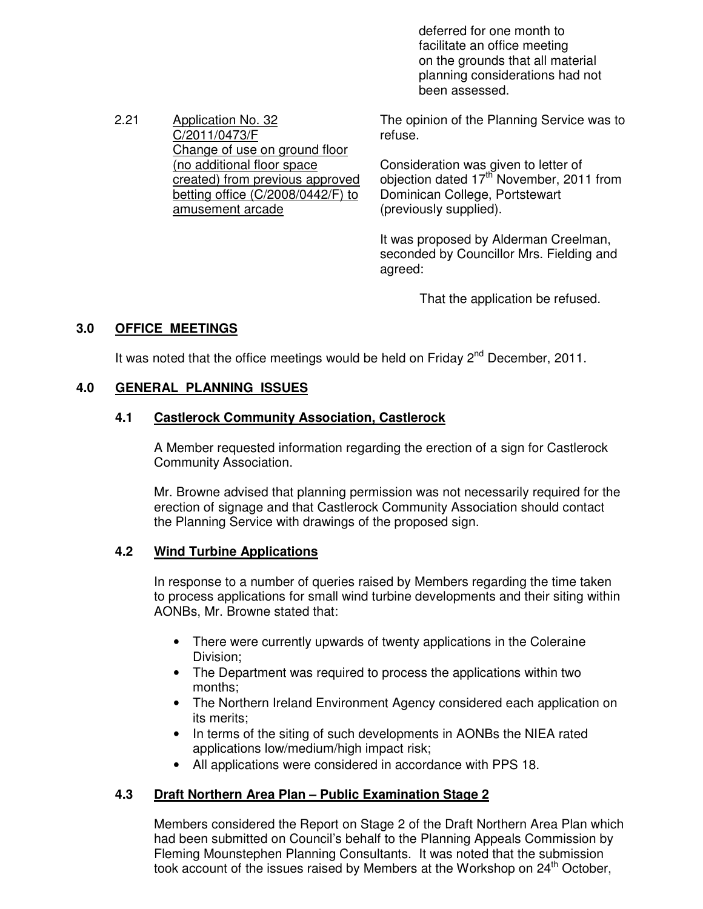deferred for one month to facilitate an office meeting on the grounds that all material planning considerations had not been assessed.

Change of use on ground floor The opinion of the Planning Service was to refuse.

> Consideration was given to letter of objection dated 17th November, 2011 from Dominican College, Portstewart (previously supplied).

It was proposed by Alderman Creelman, seconded by Councillor Mrs. Fielding and agreed:

That the application be refused.

### **3.0 OFFICE MEETINGS**

It was noted that the office meetings would be held on Friday  $2^{nd}$  December, 2011.

### **4.0 GENERAL PLANNING ISSUES**

2.21 Application No. 32

C/2011/0473/F

(no additional floor space

amusement arcade

created) from previous approved betting office (C/2008/0442/F) to

#### **4.1 Castlerock Community Association, Castlerock**

 A Member requested information regarding the erection of a sign for Castlerock Community Association.

Mr. Browne advised that planning permission was not necessarily required for the erection of signage and that Castlerock Community Association should contact the Planning Service with drawings of the proposed sign.

#### **4.2 Wind Turbine Applications**

 In response to a number of queries raised by Members regarding the time taken to process applications for small wind turbine developments and their siting within AONBs, Mr. Browne stated that:

- There were currently upwards of twenty applications in the Coleraine Division;
- The Department was required to process the applications within two months;
- The Northern Ireland Environment Agency considered each application on its merits;
- In terms of the siting of such developments in AONBs the NIEA rated applications low/medium/high impact risk;
- All applications were considered in accordance with PPS 18.

### **4.3 Draft Northern Area Plan – Public Examination Stage 2**

 Members considered the Report on Stage 2 of the Draft Northern Area Plan which had been submitted on Council's behalf to the Planning Appeals Commission by Fleming Mounstephen Planning Consultants. It was noted that the submission took account of the issues raised by Members at the Workshop on 24<sup>th</sup> October,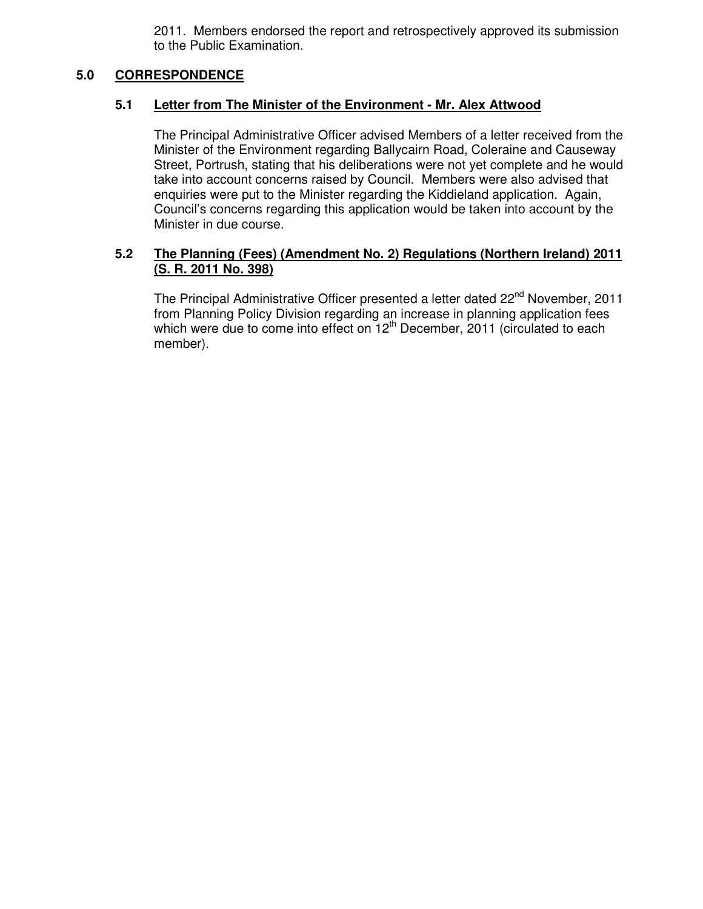2011. Members endorsed the report and retrospectively approved its submission to the Public Examination.

### **5.0 CORRESPONDENCE**

### **5.1 Letter from The Minister of the Environment - Mr. Alex Attwood**

The Principal Administrative Officer advised Members of a letter received from the Minister of the Environment regarding Ballycairn Road, Coleraine and Causeway Street, Portrush, stating that his deliberations were not yet complete and he would take into account concerns raised by Council. Members were also advised that enquiries were put to the Minister regarding the Kiddieland application. Again, Council's concerns regarding this application would be taken into account by the Minister in due course.

### **5.2 The Planning (Fees) (Amendment No. 2) Regulations (Northern Ireland) 2011 (S. R. 2011 No. 398)**

The Principal Administrative Officer presented a letter dated 22<sup>nd</sup> November, 2011 from Planning Policy Division regarding an increase in planning application fees which were due to come into effect on  $12<sup>th</sup>$  December, 2011 (circulated to each member).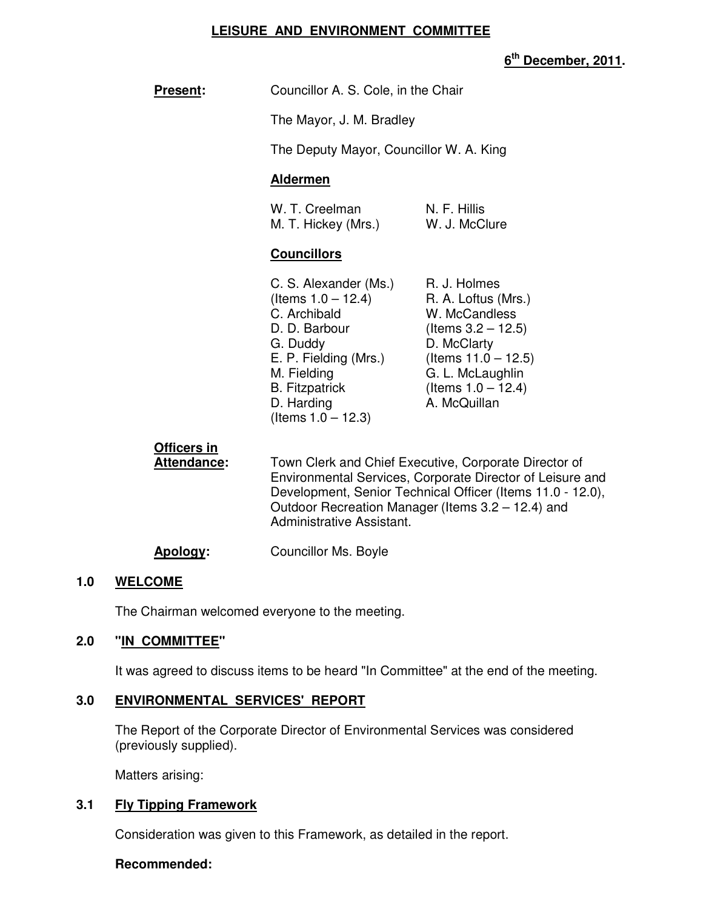### **LEISURE AND ENVIRONMENT COMMITTEE**

### **6 th December, 2011.**

| <b>Present:</b>            | Councillor A. S. Cole, in the Chair<br>The Mayor, J. M. Bradley<br>The Deputy Mayor, Councillor W. A. King<br><b>Aldermen</b>                                                                                                         |                                                                                                                                                                                     |  |
|----------------------------|---------------------------------------------------------------------------------------------------------------------------------------------------------------------------------------------------------------------------------------|-------------------------------------------------------------------------------------------------------------------------------------------------------------------------------------|--|
|                            |                                                                                                                                                                                                                                       |                                                                                                                                                                                     |  |
|                            |                                                                                                                                                                                                                                       |                                                                                                                                                                                     |  |
|                            |                                                                                                                                                                                                                                       |                                                                                                                                                                                     |  |
|                            | W. T. Creelman<br>M. T. Hickey (Mrs.)                                                                                                                                                                                                 | N. F. Hillis<br>W. J. McClure                                                                                                                                                       |  |
|                            | <b>Councillors</b>                                                                                                                                                                                                                    |                                                                                                                                                                                     |  |
|                            | C. S. Alexander (Ms.)<br>(Items $1.0 - 12.4$ )<br>C. Archibald<br>D. D. Barbour<br>G. Duddy<br>E. P. Fielding (Mrs.)<br>M. Fielding<br><b>B.</b> Fitzpatrick<br>D. Harding<br>(Items $1.0 - 12.3$ )                                   | R. J. Holmes<br>R. A. Loftus (Mrs.)<br>W. McCandless<br>(Items $3.2 - 12.5$ )<br>D. McClarty<br>(Items $11.0 - 12.5$ )<br>G. L. McLaughlin<br>(Items $1.0 - 12.4$ )<br>A. McQuillan |  |
| Officers in<br>Attendance: | Town Clerk and Chief Executive, Corporate Director of<br>Environmental Services, Corporate Director of Leisure and<br>Development, Senior Technical Officer (Items 11.0 - 12.0),<br>Outdoor Recreation Manager (Items 3.2 – 12.4) and |                                                                                                                                                                                     |  |

### **Apology:** Councillor Ms. Boyle

#### **1.0 WELCOME**

The Chairman welcomed everyone to the meeting.

### **2.0 "IN COMMITTEE"**

It was agreed to discuss items to be heard "In Committee" at the end of the meeting.

Administrative Assistant.

### **3.0 ENVIRONMENTAL SERVICES' REPORT**

 The Report of the Corporate Director of Environmental Services was considered (previously supplied).

Matters arising:

### **3.1 Fly Tipping Framework**

Consideration was given to this Framework, as detailed in the report.

### **Recommended:**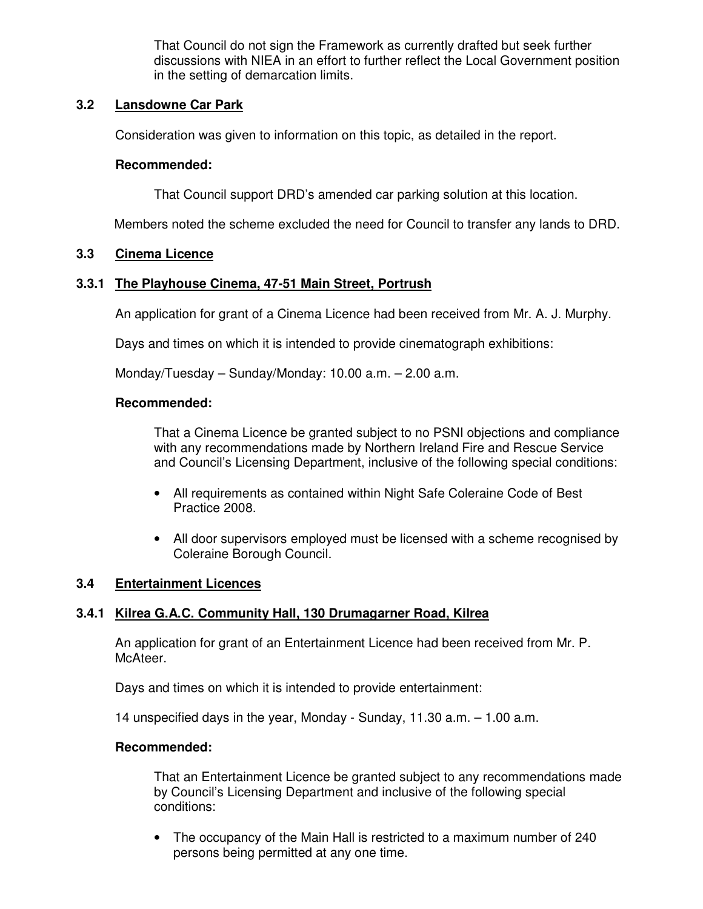That Council do not sign the Framework as currently drafted but seek further discussions with NIEA in an effort to further reflect the Local Government position in the setting of demarcation limits.

### **3.2 Lansdowne Car Park**

Consideration was given to information on this topic, as detailed in the report.

### **Recommended:**

That Council support DRD's amended car parking solution at this location.

Members noted the scheme excluded the need for Council to transfer any lands to DRD.

### **3.3 Cinema Licence**

### **3.3.1 The Playhouse Cinema, 47-51 Main Street, Portrush**

An application for grant of a Cinema Licence had been received from Mr. A. J. Murphy.

Days and times on which it is intended to provide cinematograph exhibitions:

Monday/Tuesday – Sunday/Monday: 10.00 a.m. – 2.00 a.m.

#### **Recommended:**

That a Cinema Licence be granted subject to no PSNI objections and compliance with any recommendations made by Northern Ireland Fire and Rescue Service and Council's Licensing Department, inclusive of the following special conditions:

- All requirements as contained within Night Safe Coleraine Code of Best Practice 2008.
- All door supervisors employed must be licensed with a scheme recognised by Coleraine Borough Council.

### **3.4 Entertainment Licences**

### **3.4.1 Kilrea G.A.C. Community Hall, 130 Drumagarner Road, Kilrea**

An application for grant of an Entertainment Licence had been received from Mr. P. McAteer.

Days and times on which it is intended to provide entertainment:

14 unspecified days in the year, Monday - Sunday, 11.30 a.m. – 1.00 a.m.

### **Recommended:**

That an Entertainment Licence be granted subject to any recommendations made by Council's Licensing Department and inclusive of the following special conditions:

• The occupancy of the Main Hall is restricted to a maximum number of 240 persons being permitted at any one time.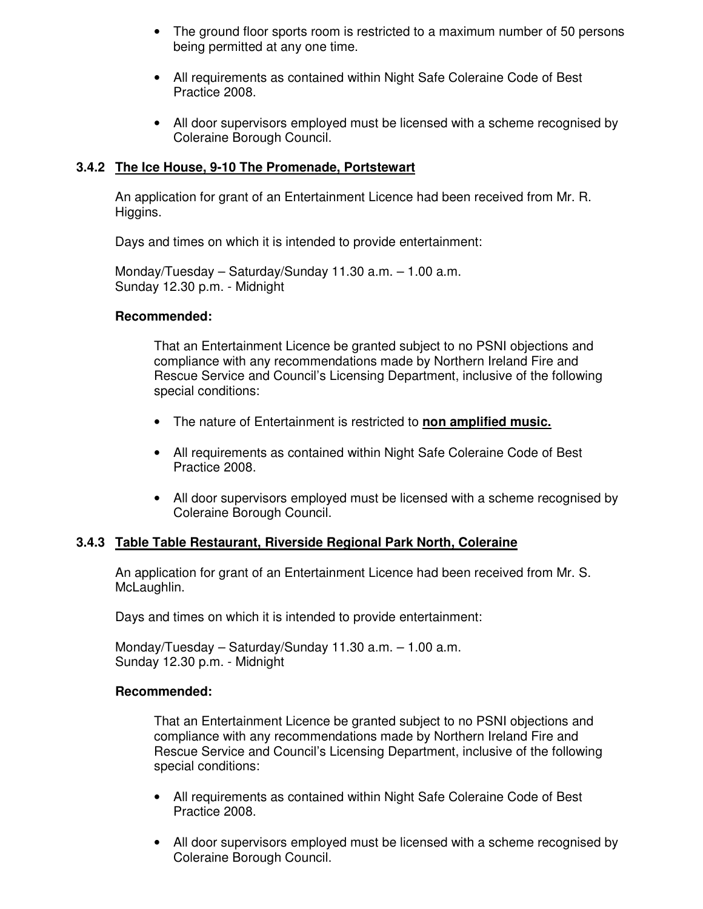- The ground floor sports room is restricted to a maximum number of 50 persons being permitted at any one time.
- All requirements as contained within Night Safe Coleraine Code of Best Practice 2008.
- All door supervisors employed must be licensed with a scheme recognised by Coleraine Borough Council.

### **3.4.2 The Ice House, 9-10 The Promenade, Portstewart**

An application for grant of an Entertainment Licence had been received from Mr. R. Higgins.

Days and times on which it is intended to provide entertainment:

 Monday/Tuesday – Saturday/Sunday 11.30 a.m. – 1.00 a.m. Sunday 12.30 p.m. - Midnight

#### **Recommended:**

That an Entertainment Licence be granted subject to no PSNI objections and compliance with any recommendations made by Northern Ireland Fire and Rescue Service and Council's Licensing Department, inclusive of the following special conditions:

- The nature of Entertainment is restricted to **non amplified music.**
- All requirements as contained within Night Safe Coleraine Code of Best Practice 2008.
- All door supervisors employed must be licensed with a scheme recognised by Coleraine Borough Council.

### **3.4.3 Table Table Restaurant, Riverside Regional Park North, Coleraine**

An application for grant of an Entertainment Licence had been received from Mr. S. McLaughlin.

Days and times on which it is intended to provide entertainment:

 Monday/Tuesday – Saturday/Sunday 11.30 a.m. – 1.00 a.m. Sunday 12.30 p.m. - Midnight

#### **Recommended:**

That an Entertainment Licence be granted subject to no PSNI objections and compliance with any recommendations made by Northern Ireland Fire and Rescue Service and Council's Licensing Department, inclusive of the following special conditions:

- All requirements as contained within Night Safe Coleraine Code of Best Practice 2008.
- All door supervisors employed must be licensed with a scheme recognised by Coleraine Borough Council.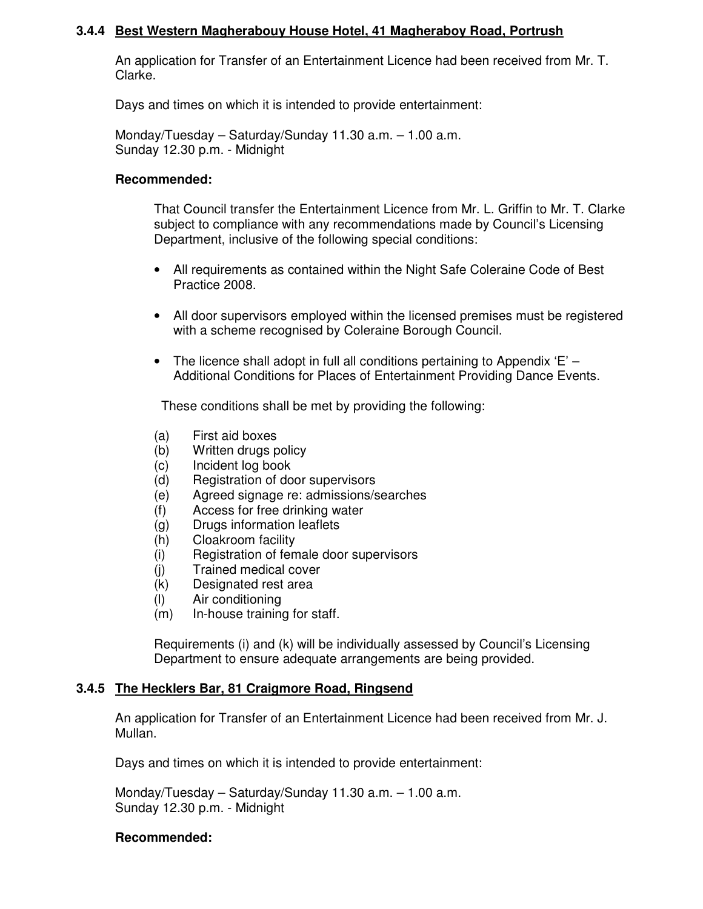### **3.4.4 Best Western Magherabouy House Hotel, 41 Magheraboy Road, Portrush**

An application for Transfer of an Entertainment Licence had been received from Mr. T. Clarke.

Days and times on which it is intended to provide entertainment:

 Monday/Tuesday – Saturday/Sunday 11.30 a.m. – 1.00 a.m. Sunday 12.30 p.m. - Midnight

#### **Recommended:**

That Council transfer the Entertainment Licence from Mr. L. Griffin to Mr. T. Clarke subject to compliance with any recommendations made by Council's Licensing Department, inclusive of the following special conditions:

- All requirements as contained within the Night Safe Coleraine Code of Best Practice 2008.
- All door supervisors employed within the licensed premises must be registered with a scheme recognised by Coleraine Borough Council.
- The licence shall adopt in full all conditions pertaining to Appendix  $E -$ Additional Conditions for Places of Entertainment Providing Dance Events.

These conditions shall be met by providing the following:

- (a) First aid boxes
- (b) Written drugs policy
- (c) Incident log book
- (d) Registration of door supervisors
- (e) Agreed signage re: admissions/searches
- (f) Access for free drinking water
- (g) Drugs information leaflets
- (h) Cloakroom facility
- (i) Registration of female door supervisors
- (j) Trained medical cover
- (k) Designated rest area
- (l) Air conditioning
- (m) In-house training for staff.

Requirements (i) and (k) will be individually assessed by Council's Licensing Department to ensure adequate arrangements are being provided.

### **3.4.5 The Hecklers Bar, 81 Craigmore Road, Ringsend**

An application for Transfer of an Entertainment Licence had been received from Mr. J. Mullan.

Days and times on which it is intended to provide entertainment:

 Monday/Tuesday – Saturday/Sunday 11.30 a.m. – 1.00 a.m. Sunday 12.30 p.m. - Midnight

### **Recommended:**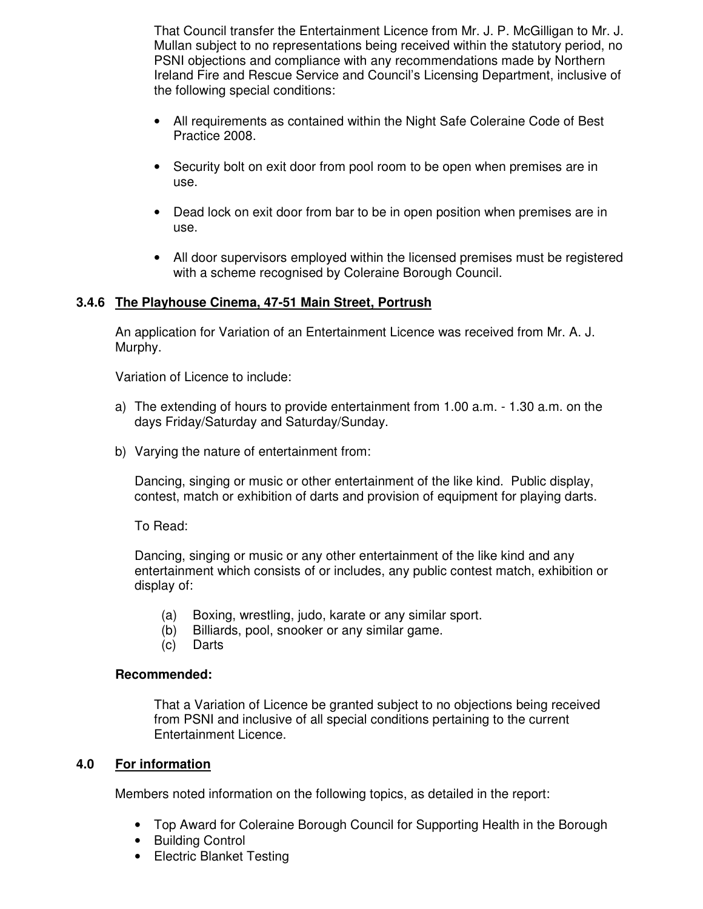That Council transfer the Entertainment Licence from Mr. J. P. McGilligan to Mr. J. Mullan subject to no representations being received within the statutory period, no PSNI objections and compliance with any recommendations made by Northern Ireland Fire and Rescue Service and Council's Licensing Department, inclusive of the following special conditions:

- All requirements as contained within the Night Safe Coleraine Code of Best Practice 2008.
- Security bolt on exit door from pool room to be open when premises are in use.
- Dead lock on exit door from bar to be in open position when premises are in use.
- All door supervisors employed within the licensed premises must be registered with a scheme recognised by Coleraine Borough Council.

### **3.4.6 The Playhouse Cinema, 47-51 Main Street, Portrush**

An application for Variation of an Entertainment Licence was received from Mr. A. J. Murphy.

Variation of Licence to include:

- a) The extending of hours to provide entertainment from 1.00 a.m. 1.30 a.m. on the days Friday/Saturday and Saturday/Sunday.
- b) Varying the nature of entertainment from:

 Dancing, singing or music or other entertainment of the like kind. Public display, contest, match or exhibition of darts and provision of equipment for playing darts.

To Read:

Dancing, singing or music or any other entertainment of the like kind and any entertainment which consists of or includes, any public contest match, exhibition or display of:

- (a) Boxing, wrestling, judo, karate or any similar sport.
- (b) Billiards, pool, snooker or any similar game.
- (c) Darts

### **Recommended:**

That a Variation of Licence be granted subject to no objections being received from PSNI and inclusive of all special conditions pertaining to the current Entertainment Licence.

### **4.0 For information**

Members noted information on the following topics, as detailed in the report:

- Top Award for Coleraine Borough Council for Supporting Health in the Borough
- Building Control
- Electric Blanket Testing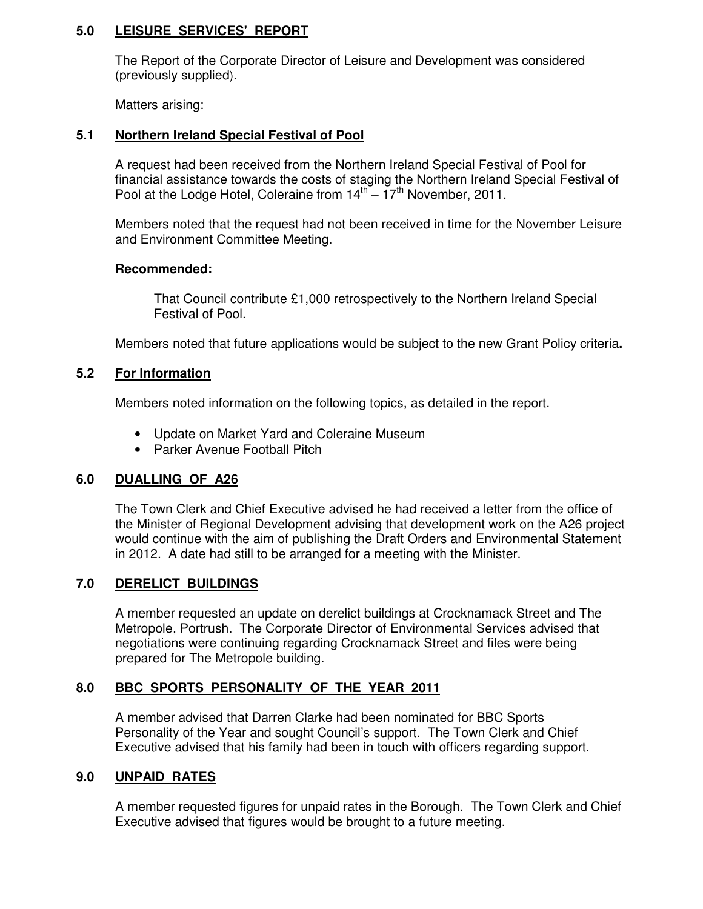### **5.0 LEISURE SERVICES' REPORT**

 The Report of the Corporate Director of Leisure and Development was considered (previously supplied).

Matters arising:

### **5.1 Northern Ireland Special Festival of Pool**

A request had been received from the Northern Ireland Special Festival of Pool for financial assistance towards the costs of staging the Northern Ireland Special Festival of Pool at the Lodge Hotel, Coleraine from  $14^{\text{th}} - 17^{\text{th}}$  November, 2011.

Members noted that the request had not been received in time for the November Leisure and Environment Committee Meeting.

### **Recommended:**

 That Council contribute £1,000 retrospectively to the Northern Ireland Special Festival of Pool.

Members noted that future applications would be subject to the new Grant Policy criteria**.** 

### **5.2 For Information**

Members noted information on the following topics, as detailed in the report.

- Update on Market Yard and Coleraine Museum
- Parker Avenue Football Pitch

### **6.0 DUALLING OF A26**

The Town Clerk and Chief Executive advised he had received a letter from the office of the Minister of Regional Development advising that development work on the A26 project would continue with the aim of publishing the Draft Orders and Environmental Statement in 2012. A date had still to be arranged for a meeting with the Minister.

### **7.0 DERELICT BUILDINGS**

A member requested an update on derelict buildings at Crocknamack Street and The Metropole, Portrush. The Corporate Director of Environmental Services advised that negotiations were continuing regarding Crocknamack Street and files were being prepared for The Metropole building.

### **8.0 BBC SPORTS PERSONALITY OF THE YEAR 2011**

 A member advised that Darren Clarke had been nominated for BBC Sports Personality of the Year and sought Council's support. The Town Clerk and Chief Executive advised that his family had been in touch with officers regarding support.

### **9.0 UNPAID RATES**

 A member requested figures for unpaid rates in the Borough. The Town Clerk and Chief Executive advised that figures would be brought to a future meeting.